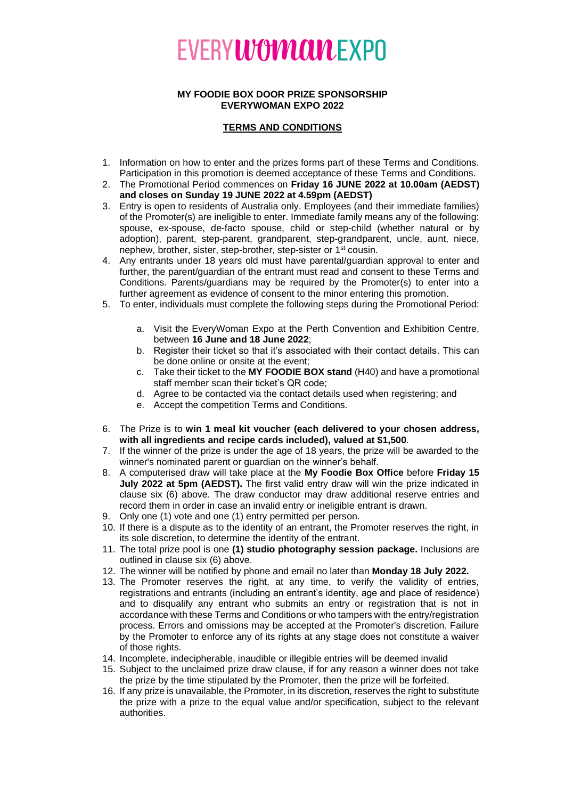## **EVERYWOMCULEXPO**

## **MY FOODIE BOX DOOR PRIZE SPONSORSHIP EVERYWOMAN EXPO 2022**

## **TERMS AND CONDITIONS**

- 1. Information on how to enter and the prizes forms part of these Terms and Conditions. Participation in this promotion is deemed acceptance of these Terms and Conditions.
- 2. The Promotional Period commences on **Friday 16 JUNE 2022 at 10.00am (AEDST) and closes on Sunday 19 JUNE 2022 at 4.59pm (AEDST)**
- 3. Entry is open to residents of Australia only. Employees (and their immediate families) of the Promoter(s) are ineligible to enter. Immediate family means any of the following: spouse, ex-spouse, de-facto spouse, child or step-child (whether natural or by adoption), parent, step-parent, grandparent, step-grandparent, uncle, aunt, niece, nephew, brother, sister, step-brother, step-sister or 1<sup>st</sup> cousin.
- 4. Any entrants under 18 years old must have parental/guardian approval to enter and further, the parent/guardian of the entrant must read and consent to these Terms and Conditions. Parents/guardians may be required by the Promoter(s) to enter into a further agreement as evidence of consent to the minor entering this promotion.
- 5. To enter, individuals must complete the following steps during the Promotional Period:
	- a. Visit the EveryWoman Expo at the Perth Convention and Exhibition Centre, between **16 June and 18 June 2022**;
	- b. Register their ticket so that it's associated with their contact details. This can be done online or onsite at the event;
	- c. Take their ticket to the **MY FOODIE BOX stand** (H40) and have a promotional staff member scan their ticket's QR code;
	- d. Agree to be contacted via the contact details used when registering; and
	- e. Accept the competition Terms and Conditions.
- 6. The Prize is to **win 1 meal kit voucher (each delivered to your chosen address, with all ingredients and recipe cards included), valued at \$1,500**.
- 7. If the winner of the prize is under the age of 18 years, the prize will be awarded to the winner's nominated parent or guardian on the winner's behalf.
- 8. A computerised draw will take place at the **My Foodie Box Office** before **Friday 15 July 2022 at 5pm (AEDST).** The first valid entry draw will win the prize indicated in clause six (6) above. The draw conductor may draw additional reserve entries and record them in order in case an invalid entry or ineligible entrant is drawn.
- 9. Only one (1) vote and one (1) entry permitted per person.
- 10. If there is a dispute as to the identity of an entrant, the Promoter reserves the right, in its sole discretion, to determine the identity of the entrant.
- 11. The total prize pool is one **(1) studio photography session package.** Inclusions are outlined in clause six (6) above.
- 12. The winner will be notified by phone and email no later than **Monday 18 July 2022.**
- 13. The Promoter reserves the right, at any time, to verify the validity of entries, registrations and entrants (including an entrant's identity, age and place of residence) and to disqualify any entrant who submits an entry or registration that is not in accordance with these Terms and Conditions or who tampers with the entry/registration process. Errors and omissions may be accepted at the Promoter's discretion. Failure by the Promoter to enforce any of its rights at any stage does not constitute a waiver of those rights.
- 14. Incomplete, indecipherable, inaudible or illegible entries will be deemed invalid
- 15. Subject to the unclaimed prize draw clause, if for any reason a winner does not take the prize by the time stipulated by the Promoter, then the prize will be forfeited.
- 16. If any prize is unavailable, the Promoter, in its discretion, reserves the right to substitute the prize with a prize to the equal value and/or specification, subject to the relevant authorities.